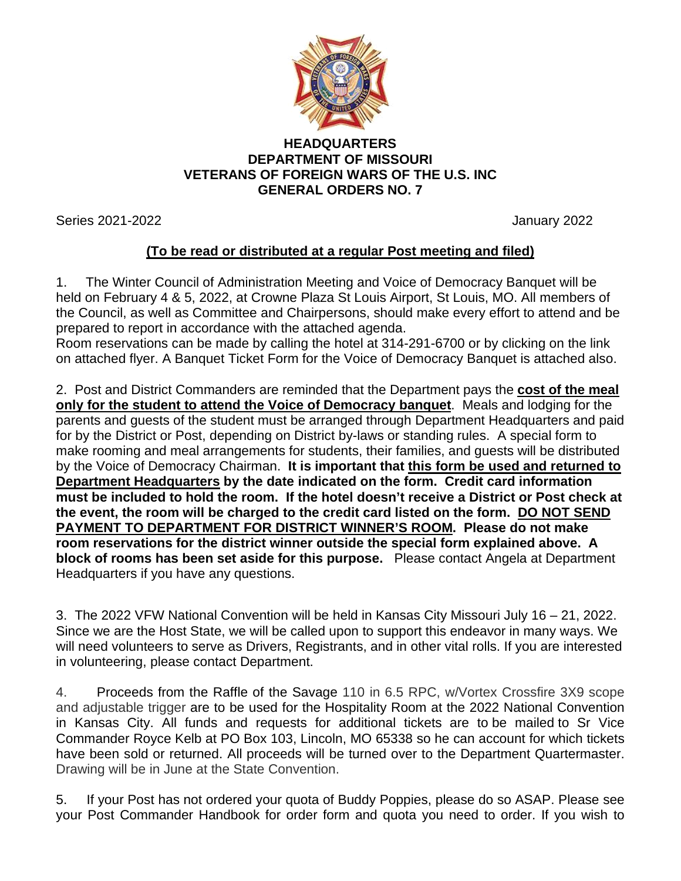

## **HEADQUARTERS DEPARTMENT OF MISSOURI VETERANS OF FOREIGN WARS OF THE U.S. INC GENERAL ORDERS NO. 7**

Series 2021-2022 January 2022

## **(To be read or distributed at a regular Post meeting and filed)**

1. The Winter Council of Administration Meeting and Voice of Democracy Banquet will be held on February 4 & 5, 2022, at Crowne Plaza St Louis Airport, St Louis, MO. All members of the Council, as well as Committee and Chairpersons, should make every effort to attend and be prepared to report in accordance with the attached agenda.

Room reservations can be made by calling the hotel at 314-291-6700 or by clicking on the link on attached flyer. A Banquet Ticket Form for the Voice of Democracy Banquet is attached also.

2. Post and District Commanders are reminded that the Department pays the **cost of the meal only for the student to attend the Voice of Democracy banquet**. Meals and lodging for the parents and guests of the student must be arranged through Department Headquarters and paid for by the District or Post, depending on District by-laws or standing rules. A special form to make rooming and meal arrangements for students, their families, and guests will be distributed by the Voice of Democracy Chairman. **It is important that this form be used and returned to Department Headquarters by the date indicated on the form. Credit card information must be included to hold the room. If the hotel doesn't receive a District or Post check at the event, the room will be charged to the credit card listed on the form. DO NOT SEND PAYMENT TO DEPARTMENT FOR DISTRICT WINNER'S ROOM. Please do not make room reservations for the district winner outside the special form explained above. A block of rooms has been set aside for this purpose.** Please contact Angela at Department Headquarters if you have any questions.

3. The 2022 VFW National Convention will be held in Kansas City Missouri July 16 – 21, 2022. Since we are the Host State, we will be called upon to support this endeavor in many ways. We will need volunteers to serve as Drivers, Registrants, and in other vital rolls. If you are interested in volunteering, please contact Department.

4. Proceeds from the Raffle of the Savage 110 in 6.5 RPC, w/Vortex Crossfire 3X9 scope and adjustable trigger are to be used for the Hospitality Room at the 2022 National Convention in Kansas City. All funds and requests for additional tickets are to be mailed to Sr Vice Commander Royce Kelb at PO Box 103, Lincoln, MO 65338 so he can account for which tickets have been sold or returned. All proceeds will be turned over to the Department Quartermaster. Drawing will be in June at the State Convention.

5. If your Post has not ordered your quota of Buddy Poppies, please do so ASAP. Please see your Post Commander Handbook for order form and quota you need to order. If you wish to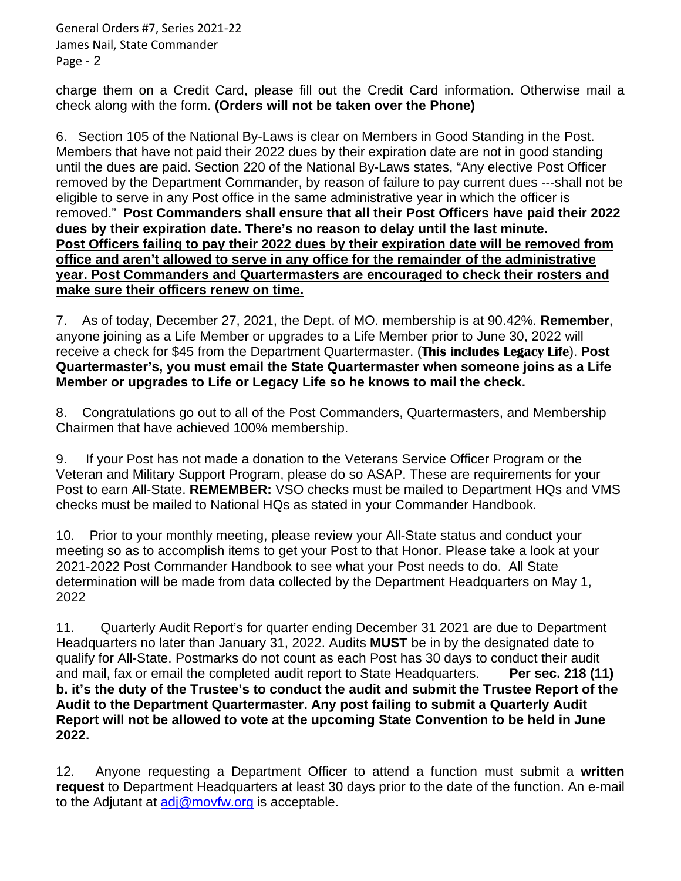General Orders #7, Series 2021-22 James Nail, State Commander Page - 2

charge them on a Credit Card, please fill out the Credit Card information. Otherwise mail a check along with the form. **(Orders will not be taken over the Phone)**

6. Section 105 of the National By-Laws is clear on Members in Good Standing in the Post. Members that have not paid their 2022 dues by their expiration date are not in good standing until the dues are paid. Section 220 of the National By-Laws states, "Any elective Post Officer removed by the Department Commander, by reason of failure to pay current dues ---shall not be eligible to serve in any Post office in the same administrative year in which the officer is removed." **Post Commanders shall ensure that all their Post Officers have paid their 2022 dues by their expiration date. There's no reason to delay until the last minute. Post Officers failing to pay their 2022 dues by their expiration date will be removed from office and aren't allowed to serve in any office for the remainder of the administrative year. Post Commanders and Quartermasters are encouraged to check their rosters and make sure their officers renew on time.**

7. As of today, December 27, 2021, the Dept. of MO. membership is at 90.42%. **Remember**, anyone joining as a Life Member or upgrades to a Life Member prior to June 30, 2022 will receive a check for \$45 from the Department Quartermaster. (**This includes Legacy Life**). **Post Quartermaster's, you must email the State Quartermaster when someone joins as a Life Member or upgrades to Life or Legacy Life so he knows to mail the check.**

8.Congratulations go out to all of the Post Commanders, Quartermasters, and Membership Chairmen that have achieved 100% membership.

9. If your Post has not made a donation to the Veterans Service Officer Program or the Veteran and Military Support Program, please do so ASAP. These are requirements for your Post to earn All-State. **REMEMBER:** VSO checks must be mailed to Department HQs and VMS checks must be mailed to National HQs as stated in your Commander Handbook.

10. Prior to your monthly meeting, please review your All-State status and conduct your meeting so as to accomplish items to get your Post to that Honor. Please take a look at your 2021-2022 Post Commander Handbook to see what your Post needs to do. All State determination will be made from data collected by the Department Headquarters on May 1, 2022

11. Quarterly Audit Report's for quarter ending December 31 2021 are due to Department Headquarters no later than January 31, 2022. Audits **MUST** be in by the designated date to qualify for All-State. Postmarks do not count as each Post has 30 days to conduct their audit and mail, fax or email the completed audit report to State Headquarters. **Per sec. 218 (11) b. it's the duty of the Trustee's to conduct the audit and submit the Trustee Report of the Audit to the Department Quartermaster. Any post failing to submit a Quarterly Audit Report will not be allowed to vote at the upcoming State Convention to be held in June 2022.**

12. Anyone requesting a Department Officer to attend a function must submit a **written request** to Department Headquarters at least 30 days prior to the date of the function. An e-mail to the Adjutant at [adj@movfw.org](mailto:adj@movfw.org) is acceptable.